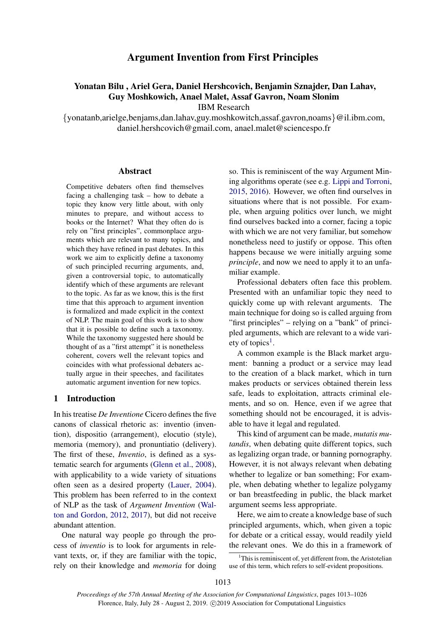# Argument Invention from First Principles

## Yonatan Bilu , Ariel Gera, Daniel Hershcovich, Benjamin Sznajder, Dan Lahav, Guy Moshkowich, Anael Malet, Assaf Gavron, Noam Slonim IBM Research

{yonatanb,arielge,benjams,dan.lahav,guy.moshkowitch,assaf.gavron,noams}@il.ibm.com, daniel.hershcovich@gmail.com, anael.malet@sciencespo.fr

## Abstract

Competitive debaters often find themselves facing a challenging task – how to debate a topic they know very little about, with only minutes to prepare, and without access to books or the Internet? What they often do is rely on "first principles", commonplace arguments which are relevant to many topics, and which they have refined in past debates. In this work we aim to explicitly define a taxonomy of such principled recurring arguments, and, given a controversial topic, to automatically identify which of these arguments are relevant to the topic. As far as we know, this is the first time that this approach to argument invention is formalized and made explicit in the context of NLP. The main goal of this work is to show that it is possible to define such a taxonomy. While the taxonomy suggested here should be thought of as a "first attempt" it is nonetheless coherent, covers well the relevant topics and coincides with what professional debaters actually argue in their speeches, and facilitates automatic argument invention for new topics.

## 1 Introduction

In his treatise *De Inventione* Cicero defines the five canons of classical rhetoric as: inventio (invention), dispositio (arrangement), elocutio (style), memoria (memory), and pronuntiatio (delivery). The first of these, *Inventio*, is defined as a systematic search for arguments [\(Glenn et al.,](#page-9-0) [2008\)](#page-9-0), with applicability to a wide variety of situations often seen as a desired property [\(Lauer,](#page-9-1) [2004\)](#page-9-1). This problem has been referred to in the context of NLP as the task of *Argument Invention* [\(Wal](#page-10-0)[ton and Gordon,](#page-10-0) [2012,](#page-10-0) [2017\)](#page-10-1), but did not receive abundant attention.

One natural way people go through the process of *inventio* is to look for arguments in relevant texts, or, if they are familiar with the topic, rely on their knowledge and *memoria* for doing

so. This is reminiscent of the way Argument Mining algorithms operate (see e.g. [Lippi and Torroni,](#page-9-2) [2015,](#page-9-2) [2016\)](#page-9-3). However, we often find ourselves in situations where that is not possible. For example, when arguing politics over lunch, we might find ourselves backed into a corner, facing a topic with which we are not very familiar, but somehow nonetheless need to justify or oppose. This often happens because we were initially arguing some *principle*, and now we need to apply it to an unfamiliar example.

Professional debaters often face this problem. Presented with an unfamiliar topic they need to quickly come up with relevant arguments. The main technique for doing so is called arguing from "first principles" – relying on a "bank" of principled arguments, which are relevant to a wide vari-ety of topics<sup>[1](#page-0-0)</sup>.

A common example is the Black market argument: banning a product or a service may lead to the creation of a black market, which in turn makes products or services obtained therein less safe, leads to exploitation, attracts criminal elements, and so on. Hence, even if we agree that something should not be encouraged, it is advisable to have it legal and regulated.

This kind of argument can be made, *mutatis mutandis*, when debating quite different topics, such as legalizing organ trade, or banning pornography. However, it is not always relevant when debating whether to legalize or ban something; For example, when debating whether to legalize polygamy or ban breastfeeding in public, the black market argument seems less appropriate.

Here, we aim to create a knowledge base of such principled arguments, which, when given a topic for debate or a critical essay, would readily yield the relevant ones. We do this in a framework of

<span id="page-0-0"></span> $1$ <sup>1</sup>This is reminiscent of, yet different from, the Aristotelian use of this term, which refers to self-evident propositions.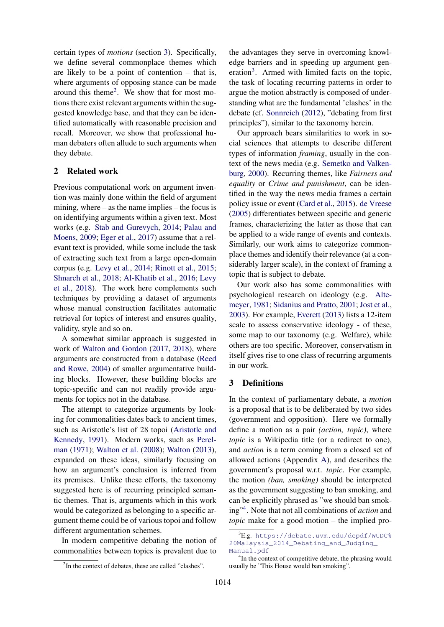certain types of *motions* (section [3\)](#page-1-0). Specifically, we define several commonplace themes which are likely to be a point of contention – that is, where arguments of opposing stance can be made around this theme<sup>[2](#page-1-1)</sup>. We show that for most motions there exist relevant arguments within the suggested knowledge base, and that they can be identified automatically with reasonable precision and recall. Moreover, we show that professional human debaters often allude to such arguments when they debate.

## 2 Related work

Previous computational work on argument invention was mainly done within the field of argument mining, where – as the name implies – the focus is on identifying arguments within a given text. Most works (e.g. [Stab and Gurevych,](#page-10-2) [2014;](#page-10-2) [Palau and](#page-9-4) [Moens,](#page-9-4) [2009;](#page-9-4) [Eger et al.,](#page-9-5) [2017\)](#page-9-5) assume that a relevant text is provided, while some include the task of extracting such text from a large open-domain corpus (e.g. [Levy et al.,](#page-9-6) [2014;](#page-9-6) [Rinott et al.,](#page-10-3) [2015;](#page-10-3) [Shnarch et al.,](#page-10-4) [2018;](#page-10-4) [Al-Khatib et al.,](#page-8-0) [2016;](#page-8-0) [Levy](#page-9-7) [et al.,](#page-9-7) [2018\)](#page-9-7). The work here complements such techniques by providing a dataset of arguments whose manual construction facilitates automatic retrieval for topics of interest and ensures quality, validity, style and so on.

A somewhat similar approach is suggested in work of [Walton and Gordon](#page-10-1) [\(2017,](#page-10-1) [2018\)](#page-10-5), where arguments are constructed from a database [\(Reed](#page-9-8) [and Rowe,](#page-9-8) [2004\)](#page-9-8) of smaller argumentative building blocks. However, these building blocks are topic-specific and can not readily provide arguments for topics not in the database.

The attempt to categorize arguments by looking for commonalities dates back to ancient times, such as Aristotle's list of 28 topoi [\(Aristotle and](#page-9-9) [Kennedy,](#page-9-9) [1991\)](#page-9-9). Modern works, such as [Perel](#page-9-10)[man](#page-9-10) [\(1971\)](#page-9-10); [Walton et al.](#page-10-6) [\(2008\)](#page-10-6); [Walton](#page-10-7) [\(2013\)](#page-10-7), expanded on these ideas, similarly focusing on how an argument's conclusion is inferred from its premises. Unlike these efforts, the taxonomy suggested here is of recurring principled semantic themes. That is, arguments which in this work would be categorized as belonging to a specific argument theme could be of various topoi and follow different argumentation schemes.

In modern competitive debating the notion of commonalities between topics is prevalent due to

the advantages they serve in overcoming knowledge barriers and in speeding up argument gen-eration<sup>[3](#page-1-2)</sup>. Armed with limited facts on the topic, the task of locating recurring patterns in order to argue the motion abstractly is composed of understanding what are the fundamental 'clashes' in the debate (cf. [Sonnreich](#page-10-8) [\(2012\)](#page-10-8), "debating from first principles"), similar to the taxonomy herein.

Our approach bears similarities to work in social sciences that attempts to describe different types of information *framing*, usually in the context of the news media (e.g. [Semetko and Valken](#page-10-9)[burg,](#page-10-9) [2000\)](#page-10-9). Recurring themes, like *Fairness and equality* or *Crime and punishment*, can be identified in the way the news media frames a certain policy issue or event [\(Card et al.,](#page-9-11) [2015\)](#page-9-11). [de Vreese](#page-10-10) [\(2005\)](#page-10-10) differentiates between specific and generic frames, characterizing the latter as those that can be applied to a wide range of events and contexts. Similarly, our work aims to categorize commonplace themes and identify their relevance (at a considerably larger scale), in the context of framing a topic that is subject to debate.

Our work also has some commonalities with psychological research on ideology (e.g. [Alte](#page-9-12)[meyer,](#page-9-12) [1981;](#page-9-12) [Sidanius and Pratto,](#page-10-11) [2001;](#page-10-11) [Jost et al.,](#page-9-13) [2003\)](#page-9-13). For example, [Everett](#page-9-14) [\(2013\)](#page-9-14) lists a 12-item scale to assess conservative ideology - of these, some map to our taxonomy (e.g. Welfare), while others are too specific. Moreover, conservatism in itself gives rise to one class of recurring arguments in our work.

## <span id="page-1-0"></span>3 Definitions

In the context of parliamentary debate, a *motion* is a proposal that is to be deliberated by two sides (government and opposition). Here we formally define a motion as a pair *(action, topic)*, where *topic* is a Wikipedia title (or a redirect to one), and *action* is a term coming from a closed set of allowed actions (Appendix [A\)](#page-11-0), and describes the government's proposal w.r.t. *topic*. For example, the motion *(ban, smoking)* should be interpreted as the government suggesting to ban smoking, and can be explicitly phrased as "we should ban smoking"[4](#page-1-3) . Note that not all combinations of *action* and *topic* make for a good motion – the implied pro-

<span id="page-1-1"></span><sup>&</sup>lt;sup>2</sup>In the context of debates, these are called "clashes".

<span id="page-1-2"></span> ${}^{3}E.g.$  [https://debate.uvm.edu/dcpdf/WUDC%](https://debate.uvm.edu/dcpdf/WUDC%20Malaysia_2014_Debating_and_Judging_Manual.pdf) [20Malaysia\\_2014\\_Debating\\_and\\_Judging\\_](https://debate.uvm.edu/dcpdf/WUDC%20Malaysia_2014_Debating_and_Judging_Manual.pdf) [Manual.pdf](https://debate.uvm.edu/dcpdf/WUDC%20Malaysia_2014_Debating_and_Judging_Manual.pdf)

<span id="page-1-3"></span><sup>&</sup>lt;sup>4</sup>In the context of competitive debate, the phrasing would usually be "This House would ban smoking".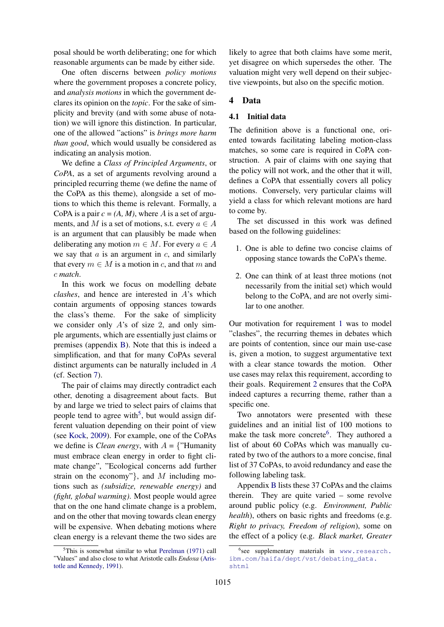posal should be worth deliberating; one for which reasonable arguments can be made by either side.

One often discerns between *policy motions* where the government proposes a concrete policy, and *analysis motions* in which the government declares its opinion on the *topic*. For the sake of simplicity and brevity (and with some abuse of notation) we will ignore this distinction. In particular, one of the allowed "actions" is *brings more harm than good*, which would usually be considered as indicating an analysis motion.

We define a *Class of Principled Arguments*, or *CoPA*, as a set of arguments revolving around a principled recurring theme (we define the name of the CoPA as this theme), alongside a set of motions to which this theme is relevant. Formally, a CoPA is a pair  $c = (A, M)$ , where A is a set of arguments, and M is a set of motions, s.t. every  $a \in A$ is an argument that can plausibly be made when deliberating any motion  $m \in M$ . For every  $a \in A$ we say that  $a$  is an argument in  $c$ , and similarly that every  $m \in M$  is a motion in c, and that m and c *match*.

In this work we focus on modelling debate *clashes*, and hence are interested in A's which contain arguments of opposing stances towards the class's theme. For the sake of simplicity we consider only  $A$ 's of size 2, and only simple arguments, which are essentially just claims or premises (appendix [B\)](#page-11-1). Note that this is indeed a simplification, and that for many CoPAs several distinct arguments can be naturally included in A (cf. Section [7\)](#page-6-0).

The pair of claims may directly contradict each other, denoting a disagreement about facts. But by and large we tried to select pairs of claims that people tend to agree with<sup>[5](#page-2-0)</sup>, but would assign different valuation depending on their point of view (see [Kock,](#page-9-15) [2009\)](#page-9-15). For example, one of the CoPAs we define is *Clean energy*, with  $A = \{$ "Humanity must embrace clean energy in order to fight climate change", "Ecological concerns add further strain on the economy"}, and  $M$  including motions such as *(subsidize, renewable energy)* and *(fight, global warming)*. Most people would agree that on the one hand climate change is a problem, and on the other that moving towards clean energy will be expensive. When debating motions where clean energy is a relevant theme the two sides are likely to agree that both claims have some merit, yet disagree on which supersedes the other. The valuation might very well depend on their subjective viewpoints, but also on the specific motion.

## 4 Data

#### 4.1 Initial data

The definition above is a functional one, oriented towards facilitating labeling motion-class matches, so some care is required in CoPA construction. A pair of claims with one saying that the policy will not work, and the other that it will, defines a CoPA that essentially covers all policy motions. Conversely, very particular claims will yield a class for which relevant motions are hard to come by.

The set discussed in this work was defined based on the following guidelines:

- <span id="page-2-1"></span>1. One is able to define two concise claims of opposing stance towards the CoPA's theme.
- <span id="page-2-2"></span>2. One can think of at least three motions (not necessarily from the initial set) which would belong to the CoPA, and are not overly similar to one another.

Our motivation for requirement [1](#page-2-1) was to model "clashes", the recurring themes in debates which are points of contention, since our main use-case is, given a motion, to suggest argumentative text with a clear stance towards the motion. Other use cases may relax this requirement, according to their goals. Requirement [2](#page-2-2) ensures that the CoPA indeed captures a recurring theme, rather than a specific one.

Two annotators were presented with these guidelines and an initial list of 100 motions to make the task more concrete<sup>[6](#page-2-3)</sup>. They authored a list of about 60 CoPAs which was manually curated by two of the authors to a more concise, final list of 37 CoPAs, to avoid redundancy and ease the following labeling task.

Appendix [B](#page-11-1) lists these 37 CoPAs and the claims therein. They are quite varied – some revolve around public policy (e.g. *Environment, Public health*), others on basic rights and freedoms (e.g. *Right to privacy, Freedom of religion*), some on the effect of a policy (e.g. *Black market, Greater*

<span id="page-2-0"></span> $5$ This is somewhat similar to what [Perelman](#page-9-10) [\(1971\)](#page-9-10) call "Values" and also close to what Aristotle calls *Endoxa* [\(Aris](#page-9-9)[totle and Kennedy,](#page-9-9) [1991\)](#page-9-9).

<span id="page-2-3"></span><sup>6</sup> see supplementary materials in [www.research.](www.research.ibm.com/haifa/dept/vst/debating_data.shtml) [ibm.com/haifa/dept/vst/debating\\_data.](www.research.ibm.com/haifa/dept/vst/debating_data.shtml) [shtml](www.research.ibm.com/haifa/dept/vst/debating_data.shtml)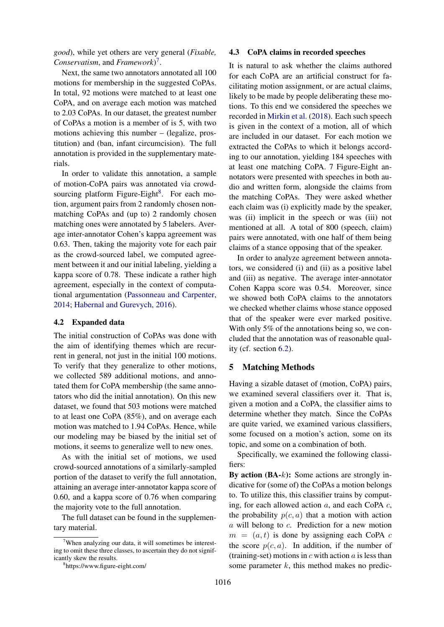*good*), while yet others are very general (*Fixable, Conservatism*, and *Framework*) [7](#page-3-0) .

Next, the same two annotators annotated all 100 motions for membership in the suggested CoPAs. In total, 92 motions were matched to at least one CoPA, and on average each motion was matched to 2.03 CoPAs. In our dataset, the greatest number of CoPAs a motion is a member of is 5, with two motions achieving this number – (legalize, prostitution) and (ban, infant circumcision). The full annotation is provided in the supplementary materials.

In order to validate this annotation, a sample of motion-CoPA pairs was annotated via crowd-sourcing platform Figure-Eight<sup>[8](#page-3-1)</sup>. For each motion, argument pairs from 2 randomly chosen nonmatching CoPAs and (up to) 2 randomly chosen matching ones were annotated by 5 labelers. Average inter-annotator Cohen's kappa agreement was 0.63. Then, taking the majority vote for each pair as the crowd-sourced label, we computed agreement between it and our initial labeling, yielding a kappa score of 0.78. These indicate a rather high agreement, especially in the context of computational argumentation [\(Passonneau and Carpenter,](#page-9-16) [2014;](#page-9-16) [Habernal and Gurevych,](#page-9-17) [2016\)](#page-9-17).

## 4.2 Expanded data

The initial construction of CoPAs was done with the aim of identifying themes which are recurrent in general, not just in the initial 100 motions. To verify that they generalize to other motions, we collected 589 additional motions, and annotated them for CoPA membership (the same annotators who did the initial annotation). On this new dataset, we found that 503 motions were matched to at least one CoPA (85%), and on average each motion was matched to 1.94 CoPAs. Hence, while our modeling may be biased by the initial set of motions, it seems to generalize well to new ones.

As with the initial set of motions, we used crowd-sourced annotations of a similarly-sampled portion of the dataset to verify the full annotation, attaining an average inter-annotator kappa score of 0.60, and a kappa score of 0.76 when comparing the majority vote to the full annotation.

The full dataset can be found in the supplementary material.

#### <span id="page-3-2"></span>4.3 CoPA claims in recorded speeches

It is natural to ask whether the claims authored for each CoPA are an artificial construct for facilitating motion assignment, or are actual claims, likely to be made by people deliberating these motions. To this end we considered the speeches we recorded in [Mirkin et al.](#page-9-18) [\(2018\)](#page-9-18). Each such speech is given in the context of a motion, all of which are included in our dataset. For each motion we extracted the CoPAs to which it belongs according to our annotation, yielding 184 speeches with at least one matching CoPA. 7 Figure-Eight annotators were presented with speeches in both audio and written form, alongside the claims from the matching CoPAs. They were asked whether each claim was (i) explicitly made by the speaker, was (ii) implicit in the speech or was (iii) not mentioned at all. A total of 800 (speech, claim) pairs were annotated, with one half of them being claims of a stance opposing that of the speaker.

In order to analyze agreement between annotators, we considered (i) and (ii) as a positive label and (iii) as negative. The average inter-annotator Cohen Kappa score was 0.54. Moreover, since we showed both CoPA claims to the annotators we checked whether claims whose stance opposed that of the speaker were ever marked positive. With only 5% of the annotations being so, we concluded that the annotation was of reasonable quality (cf. section [6.2\)](#page-5-0).

## <span id="page-3-3"></span>5 Matching Methods

Having a sizable dataset of (motion, CoPA) pairs, we examined several classifiers over it. That is, given a motion and a CoPA, the classifier aims to determine whether they match. Since the CoPAs are quite varied, we examined various classifiers, some focused on a motion's action, some on its topic, and some on a combination of both.

Specifically, we examined the following classifiers:

By action  $(BA-k)$ : Some actions are strongly indicative for (some of) the CoPAs a motion belongs to. To utilize this, this classifier trains by computing, for each allowed action  $a$ , and each CoPA  $c$ , the probability  $p(c, a)$  that a motion with action a will belong to c. Prediction for a new motion  $m = (a, t)$  is done by assigning each CoPA c the score  $p(c, a)$ . In addition, if the number of (training-set) motions in  $c$  with action  $a$  is less than some parameter  $k$ , this method makes no predic-

<span id="page-3-0"></span><sup>&</sup>lt;sup>7</sup>When analyzing our data, it will sometimes be interesting to omit these three classes, to ascertain they do not significantly skew the results.

<span id="page-3-1"></span><sup>8</sup> https://www.figure-eight.com/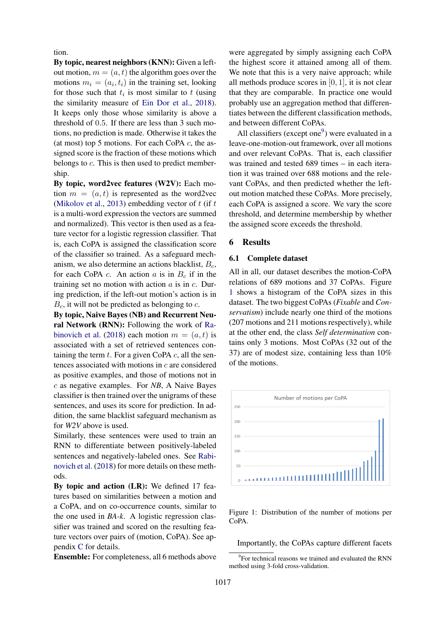tion.

By topic, nearest neighbors (KNN): Given a leftout motion,  $m = (a, t)$  the algorithm goes over the motions  $m_i = (a_i, t_i)$  in the training set, looking for those such that  $t_i$  is most similar to  $t$  (using the similarity measure of [Ein Dor et al.,](#page-9-19) [2018\)](#page-9-19). It keeps only those whose similarity is above a threshold of 0.5. If there are less than 3 such motions, no prediction is made. Otherwise it takes the (at most) top 5 motions. For each CoPA  $c$ , the assigned score is the fraction of these motions which belongs to c. This is then used to predict membership.

By topic, word2vec features (W2V): Each motion  $m = (a, t)$  is represented as the word2vec [\(Mikolov et al.,](#page-9-20) [2013\)](#page-9-20) embedding vector of  $t$  (if  $t$ ) is a multi-word expression the vectors are summed and normalized). This vector is then used as a feature vector for a logistic regression classifier. That is, each CoPA is assigned the classification score of the classifier so trained. As a safeguard mechanism, we also determine an actions blacklist,  $B_c$ , for each CoPA c. An action a is in  $B_c$  if in the training set no motion with action  $a$  is in  $c$ . During prediction, if the left-out motion's action is in  $B<sub>c</sub>$ , it will not be predicted as belonging to c.

By topic, Naive Bayes (NB) and Recurrent Neural Network (RNN): Following the work of [Ra](#page-9-21)[binovich et al.](#page-9-21) [\(2018\)](#page-9-21) each motion  $m = (a, t)$  is associated with a set of retrieved sentences containing the term  $t$ . For a given CoPA  $c$ , all the sentences associated with motions in c are considered as positive examples, and those of motions not in c as negative examples. For *NB*, A Naive Bayes classifier is then trained over the unigrams of these sentences, and uses its score for prediction. In addition, the same blacklist safeguard mechanism as for *W2V* above is used.

Similarly, these sentences were used to train an RNN to differentiate between positively-labeled sentences and negatively-labeled ones. See [Rabi](#page-9-21)[novich et al.](#page-9-21) [\(2018\)](#page-9-21) for more details on these methods.

By topic and action (LR): We defined 17 features based on similarities between a motion and a CoPA, and on co-occurrence counts, similar to the one used in *BA-k*. A logistic regression classifier was trained and scored on the resulting feature vectors over pairs of (motion, CoPA). See appendix [C](#page-13-0) for details.

Ensemble: For completeness, all 6 methods above

were aggregated by simply assigning each CoPA the highest score it attained among all of them. We note that this is a very naive approach; while all methods produce scores in  $[0, 1]$ , it is not clear that they are comparable. In practice one would probably use an aggregation method that differentiates between the different classification methods, and between different CoPAs.

All classifiers (except one $9$ ) were evaluated in a leave-one-motion-out framework, over all motions and over relevant CoPAs. That is, each classifier was trained and tested 689 times – in each iteration it was trained over 688 motions and the relevant CoPAs, and then predicted whether the leftout motion matched these CoPAs. More precisely, each CoPA is assigned a score. We vary the score threshold, and determine membership by whether the assigned score exceeds the threshold.

#### 6 Results

#### 6.1 Complete dataset

All in all, our dataset describes the motion-CoPA relations of 689 motions and 37 CoPAs. Figure [1](#page-4-1) shows a histogram of the CoPA sizes in this dataset. The two biggest CoPAs (*Fixable* and *Conservatism*) include nearly one third of the motions (207 motions and 211 motions respectively), while at the other end, the class *Self determination* contains only 3 motions. Most CoPAs (32 out of the 37) are of modest size, containing less than 10% of the motions.

<span id="page-4-1"></span>

Figure 1: Distribution of the number of motions per CoPA.

Importantly, the CoPAs capture different facets

<span id="page-4-0"></span><sup>&</sup>lt;sup>9</sup> For technical reasons we trained and evaluated the RNN method using 3-fold cross-validation.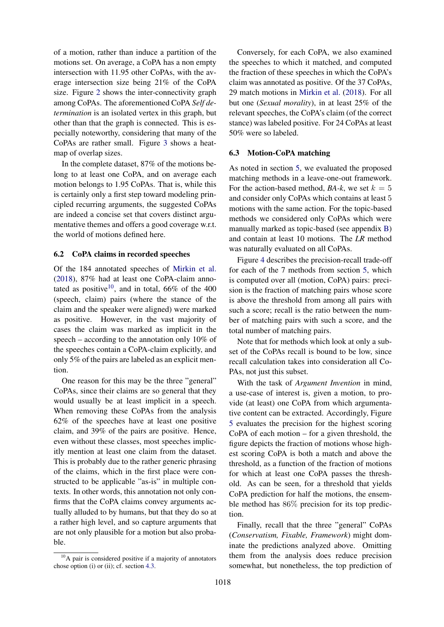of a motion, rather than induce a partition of the motions set. On average, a CoPA has a non empty intersection with 11.95 other CoPAs, with the average intersection size being 21% of the CoPA size. Figure [2](#page-6-1) shows the inter-connectivity graph among CoPAs. The aforementioned CoPA *Self determination* is an isolated vertex in this graph, but other than that the graph is connected. This is especially noteworthy, considering that many of the CoPAs are rather small. Figure [3](#page-6-2) shows a heatmap of overlap sizes.

In the complete dataset, 87% of the motions belong to at least one CoPA, and on average each motion belongs to 1.95 CoPAs. That is, while this is certainly only a first step toward modeling principled recurring arguments, the suggested CoPAs are indeed a concise set that covers distinct argumentative themes and offers a good coverage w.r.t. the world of motions defined here.

## <span id="page-5-0"></span>6.2 CoPA claims in recorded speeches

Of the 184 annotated speeches of [Mirkin et al.](#page-9-18) [\(2018\)](#page-9-18), 87% had at least one CoPA-claim anno-tated as positive<sup>[10](#page-5-1)</sup>, and in total,  $66\%$  of the 400 (speech, claim) pairs (where the stance of the claim and the speaker were aligned) were marked as positive. However, in the vast majority of cases the claim was marked as implicit in the speech – according to the annotation only 10% of the speeches contain a CoPA-claim explicitly, and only 5% of the pairs are labeled as an explicit mention.

One reason for this may be the three "general" CoPAs, since their claims are so general that they would usually be at least implicit in a speech. When removing these CoPAs from the analysis 62% of the speeches have at least one positive claim, and 39% of the pairs are positive. Hence, even without these classes, most speeches implicitly mention at least one claim from the dataset. This is probably due to the rather generic phrasing of the claims, which in the first place were constructed to be applicable "as-is" in multiple contexts. In other words, this annotation not only confirms that the CoPA claims convey arguments actually alluded to by humans, but that they do so at a rather high level, and so capture arguments that are not only plausible for a motion but also probable.

Conversely, for each CoPA, we also examined the speeches to which it matched, and computed the fraction of these speeches in which the CoPA's claim was annotated as positive. Of the 37 CoPAs, 29 match motions in [Mirkin et al.](#page-9-18) [\(2018\)](#page-9-18). For all but one (*Sexual morality*), in at least 25% of the relevant speeches, the CoPA's claim (of the correct stance) was labeled positive. For 24 CoPAs at least 50% were so labeled.

## 6.3 Motion-CoPA matching

As noted in section [5,](#page-3-3) we evaluated the proposed matching methods in a leave-one-out framework. For the action-based method, *BA-k*, we set  $k = 5$ and consider only CoPAs which contains at least 5 motions with the same action. For the topic-based methods we considered only CoPAs which were manually marked as topic-based (see appendix [B\)](#page-11-1) and contain at least 10 motions. The *LR* method was naturally evaluated on all CoPAs.

Figure [4](#page-6-3) describes the precision-recall trade-off for each of the 7 methods from section [5,](#page-3-3) which is computed over all (motion, CoPA) pairs: precision is the fraction of matching pairs whose score is above the threshold from among all pairs with such a score; recall is the ratio between the number of matching pairs with such a score, and the total number of matching pairs.

Note that for methods which look at only a subset of the CoPAs recall is bound to be low, since recall calculation takes into consideration all Co-PAs, not just this subset.

With the task of *Argument Invention* in mind, a use-case of interest is, given a motion, to provide (at least) one CoPA from which argumentative content can be extracted. Accordingly, Figure [5](#page-7-0) evaluates the precision for the highest scoring CoPA of each motion – for a given threshold, the figure depicts the fraction of motions whose highest scoring CoPA is both a match and above the threshold, as a function of the fraction of motions for which at least one CoPA passes the threshold. As can be seen, for a threshold that yields CoPA prediction for half the motions, the ensemble method has 86% precision for its top prediction.

Finally, recall that the three "general" CoPAs (*Conservatism, Fixable, Framework*) might dominate the predictions analyzed above. Omitting them from the analysis does reduce precision somewhat, but nonetheless, the top prediction of

<span id="page-5-1"></span> $10$ A pair is considered positive if a majority of annotators chose option (i) or (ii); cf. section [4.3.](#page-3-2)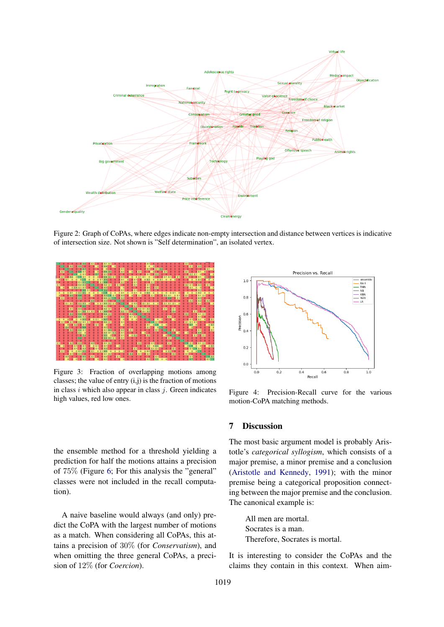<span id="page-6-1"></span>

Figure 2: Graph of CoPAs, where edges indicate non-empty intersection and distance between vertices is indicative of intersection size. Not shown is "Self determination", an isolated vertex.

<span id="page-6-2"></span>

Figure 3: Fraction of overlapping motions among classes; the value of entry  $(i,j)$  is the fraction of motions in class  $i$  which also appear in class  $j$ . Green indicates high values, red low ones.

the ensemble method for a threshold yielding a prediction for half the motions attains a precision of 75% (Figure [6;](#page-7-1) For this analysis the "general" classes were not included in the recall computation).

A naive baseline would always (and only) predict the CoPA with the largest number of motions as a match. When considering all CoPAs, this attains a precision of 30% (for *Conservatism*), and when omitting the three general CoPAs, a precision of 12% (for *Coercion*).

<span id="page-6-3"></span>

Figure 4: Precision-Recall curve for the various motion-CoPA matching methods.

## <span id="page-6-0"></span>7 Discussion

The most basic argument model is probably Aristotle's *categorical syllogism*, which consists of a major premise, a minor premise and a conclusion [\(Aristotle and Kennedy,](#page-9-9) [1991\)](#page-9-9); with the minor premise being a categorical proposition connecting between the major premise and the conclusion. The canonical example is:

All men are mortal. Socrates is a man. Therefore, Socrates is mortal.

It is interesting to consider the CoPAs and the claims they contain in this context. When aim-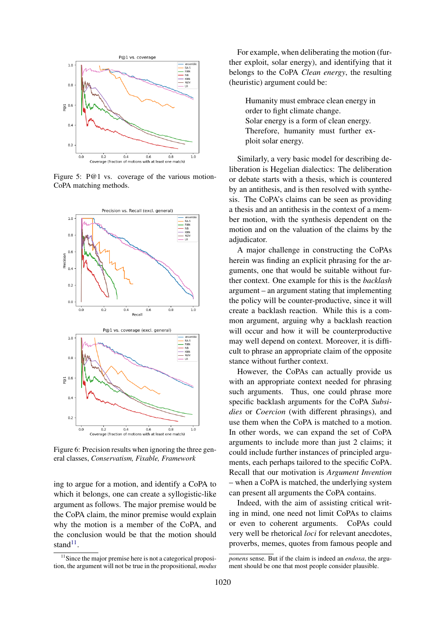<span id="page-7-0"></span>

Figure 5: P@1 vs. coverage of the various motion-CoPA matching methods.

<span id="page-7-1"></span>

Figure 6: Precision results when ignoring the three general classes, *Conservatism, Fixable, Framework*

ing to argue for a motion, and identify a CoPA to which it belongs, one can create a syllogistic-like argument as follows. The major premise would be the CoPA claim, the minor premise would explain why the motion is a member of the CoPA, and the conclusion would be that the motion should stand $^{11}$  $^{11}$  $^{11}$ .

For example, when deliberating the motion (further exploit, solar energy), and identifying that it belongs to the CoPA *Clean energy*, the resulting (heuristic) argument could be:

Humanity must embrace clean energy in order to fight climate change. Solar energy is a form of clean energy. Therefore, humanity must further exploit solar energy.

Similarly, a very basic model for describing deliberation is Hegelian dialectics: The deliberation or debate starts with a thesis, which is countered by an antithesis, and is then resolved with synthesis. The CoPA's claims can be seen as providing a thesis and an antithesis in the context of a member motion, with the synthesis dependent on the motion and on the valuation of the claims by the adjudicator.

A major challenge in constructing the CoPAs herein was finding an explicit phrasing for the arguments, one that would be suitable without further context. One example for this is the *backlash* argument – an argument stating that implementing the policy will be counter-productive, since it will create a backlash reaction. While this is a common argument, arguing why a backlash reaction will occur and how it will be counterproductive may well depend on context. Moreover, it is difficult to phrase an appropriate claim of the opposite stance without further context.

However, the CoPAs can actually provide us with an appropriate context needed for phrasing such arguments. Thus, one could phrase more specific backlash arguments for the CoPA *Subsidies* or *Coercion* (with different phrasings), and use them when the CoPA is matched to a motion. In other words, we can expand the set of CoPA arguments to include more than just 2 claims; it could include further instances of principled arguments, each perhaps tailored to the specific CoPA. Recall that our motivation is *Argument Invention* – when a CoPA is matched, the underlying system can present all arguments the CoPA contains.

Indeed, with the aim of assisting critical writing in mind, one need not limit CoPAs to claims or even to coherent arguments. CoPAs could very well be rhetorical *loci* for relevant anecdotes, proverbs, memes, quotes from famous people and

<span id="page-7-2"></span><sup>&</sup>lt;sup>11</sup>Since the major premise here is not a categorical proposition, the argument will not be true in the propositional, *modus*

*ponens* sense. But if the claim is indeed an *endoxa*, the argument should be one that most people consider plausible.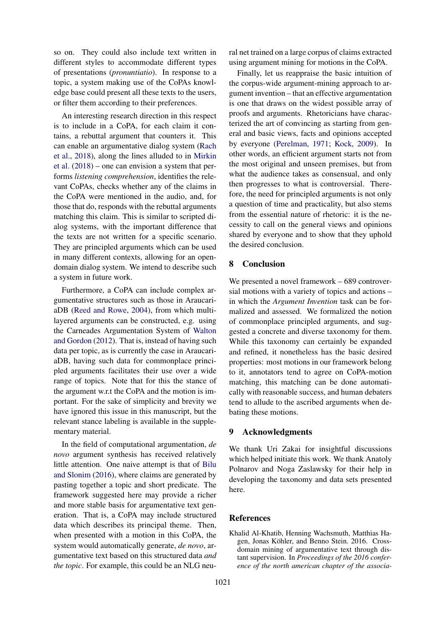so on. They could also include text written in different styles to accommodate different types of presentations (*pronuntiatio*). In response to a topic, a system making use of the CoPAs knowledge base could present all these texts to the users, or filter them according to their preferences.

An interesting research direction in this respect is to include in a CoPA, for each claim it contains, a rebuttal argument that counters it. This can enable an argumentative dialog system [\(Rach](#page-9-22) [et al.,](#page-9-22) [2018\)](#page-9-22), along the lines alluded to in [Mirkin](#page-9-18) [et al.](#page-9-18) [\(2018\)](#page-9-18) – one can envision a system that performs *listening comprehension*, identifies the relevant CoPAs, checks whether any of the claims in the CoPA were mentioned in the audio, and, for those that do, responds with the rebuttal arguments matching this claim. This is similar to scripted dialog systems, with the important difference that the texts are not written for a specific scenario. They are principled arguments which can be used in many different contexts, allowing for an opendomain dialog system. We intend to describe such a system in future work.

Furthermore, a CoPA can include complex argumentative structures such as those in AraucariaDB [\(Reed and Rowe,](#page-9-8) [2004\)](#page-9-8), from which multilayered arguments can be constructed, e.g. using the Carneades Argumentation System of [Walton](#page-10-0) [and Gordon](#page-10-0) [\(2012\)](#page-10-0). That is, instead of having such data per topic, as is currently the case in AraucariaDB, having such data for commonplace principled arguments facilitates their use over a wide range of topics. Note that for this the stance of the argument w.r.t the CoPA and the motion is important. For the sake of simplicity and brevity we have ignored this issue in this manuscript, but the relevant stance labeling is available in the supplementary material.

In the field of computational argumentation, *de novo* argument synthesis has received relatively little attention. One naive attempt is that of [Bilu](#page-9-23) [and Slonim](#page-9-23) [\(2016\)](#page-9-23), where claims are generated by pasting together a topic and short predicate. The framework suggested here may provide a richer and more stable basis for argumentative text generation. That is, a CoPA may include structured data which describes its principal theme. Then, when presented with a motion in this CoPA, the system would automatically generate, *de novo*, argumentative text based on this structured data *and the topic*. For example, this could be an NLG neural net trained on a large corpus of claims extracted using argument mining for motions in the CoPA.

Finally, let us reappraise the basic intuition of the corpus-wide argument-mining approach to argument invention – that an effective argumentation is one that draws on the widest possible array of proofs and arguments. Rhetoricians have characterized the art of convincing as starting from general and basic views, facts and opinions accepted by everyone [\(Perelman,](#page-9-10) [1971;](#page-9-10) [Kock,](#page-9-15) [2009\)](#page-9-15). In other words, an efficient argument starts not from the most original and unseen premises, but from what the audience takes as consensual, and only then progresses to what is controversial. Therefore, the need for principled arguments is not only a question of time and practicality, but also stems from the essential nature of rhetoric: it is the necessity to call on the general views and opinions shared by everyone and to show that they uphold the desired conclusion.

## 8 Conclusion

We presented a novel framework – 689 controversial motions with a variety of topics and actions – in which the *Argument Invention* task can be formalized and assessed. We formalized the notion of commonplace principled arguments, and suggested a concrete and diverse taxonomy for them. While this taxonomy can certainly be expanded and refined, it nonetheless has the basic desired properties: most motions in our framework belong to it, annotators tend to agree on CoPA-motion matching, this matching can be done automatically with reasonable success, and human debaters tend to allude to the ascribed arguments when debating these motions.

#### 9 Acknowledgments

We thank Uri Zakai for insightful discussions which helped initiate this work. We thank Anatoly Polnarov and Noga Zaslawsky for their help in developing the taxonomy and data sets presented here.

#### **References**

<span id="page-8-0"></span>Khalid Al-Khatib, Henning Wachsmuth, Matthias Hagen, Jonas Köhler, and Benno Stein. 2016. Crossdomain mining of argumentative text through distant supervision. In *Proceedings of the 2016 conference of the north american chapter of the associa-*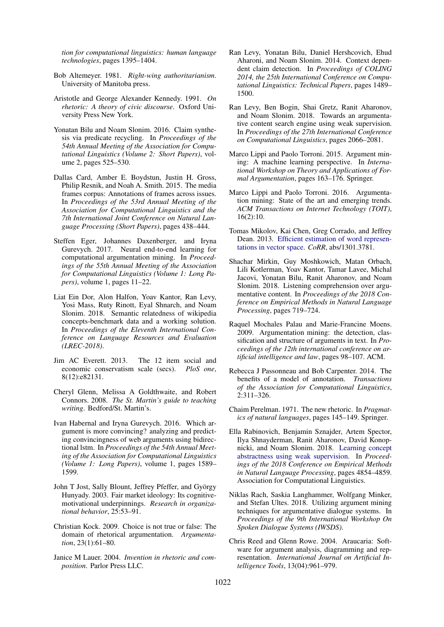*tion for computational linguistics: human language technologies*, pages 1395–1404.

- <span id="page-9-12"></span>Bob Altemeyer. 1981. *Right-wing authoritarianism*. University of Manitoba press.
- <span id="page-9-9"></span>Aristotle and George Alexander Kennedy. 1991. *On rhetoric: A theory of civic discourse*. Oxford University Press New York.
- <span id="page-9-23"></span>Yonatan Bilu and Noam Slonim. 2016. Claim synthesis via predicate recycling. In *Proceedings of the 54th Annual Meeting of the Association for Computational Linguistics (Volume 2: Short Papers)*, volume 2, pages 525–530.
- <span id="page-9-11"></span>Dallas Card, Amber E. Boydstun, Justin H. Gross, Philip Resnik, and Noah A. Smith. 2015. The media frames corpus: Annotations of frames across issues. In *Proceedings of the 53rd Annual Meeting of the Association for Computational Linguistics and the 7th International Joint Conference on Natural Language Processing (Short Papers)*, pages 438–444.
- <span id="page-9-5"></span>Steffen Eger, Johannes Daxenberger, and Iryna Gurevych. 2017. Neural end-to-end learning for computational argumentation mining. In *Proceedings of the 55th Annual Meeting of the Association for Computational Linguistics (Volume 1: Long Papers)*, volume 1, pages 11–22.
- <span id="page-9-19"></span>Liat Ein Dor, Alon Halfon, Yoav Kantor, Ran Levy, Yosi Mass, Ruty Rinott, Eyal Shnarch, and Noam Slonim. 2018. Semantic relatedness of wikipedia concepts-benchmark data and a working solution. In *Proceedings of the Eleventh International Conference on Language Resources and Evaluation (LREC-2018)*.
- <span id="page-9-14"></span>Jim AC Everett. 2013. The 12 item social and economic conservatism scale (secs). *PloS one*, 8(12):e82131.
- <span id="page-9-0"></span>Cheryl Glenn, Melissa A Goldthwaite, and Robert Connors. 2008. *The St. Martin's guide to teaching writing*. Bedford/St. Martin's.
- <span id="page-9-17"></span>Ivan Habernal and Iryna Gurevych. 2016. Which argument is more convincing? analyzing and predicting convincingness of web arguments using bidirectional lstm. In *Proceedings of the 54th Annual Meeting of the Association for Computational Linguistics (Volume 1: Long Papers)*, volume 1, pages 1589– 1599.
- <span id="page-9-13"></span>John T Jost, Sally Blount, Jeffrey Pfeffer, and György Hunyady. 2003. Fair market ideology: Its cognitivemotivational underpinnings. *Research in organizational behavior*, 25:53–91.
- <span id="page-9-15"></span>Christian Kock. 2009. Choice is not true or false: The domain of rhetorical argumentation. *Argumentation*, 23(1):61–80.
- <span id="page-9-1"></span>Janice M Lauer. 2004. *Invention in rhetoric and composition*. Parlor Press LLC.
- <span id="page-9-6"></span>Ran Levy, Yonatan Bilu, Daniel Hershcovich, Ehud Aharoni, and Noam Slonim. 2014. Context dependent claim detection. In *Proceedings of COLING 2014, the 25th International Conference on Computational Linguistics: Technical Papers*, pages 1489– 1500.
- <span id="page-9-7"></span>Ran Levy, Ben Bogin, Shai Gretz, Ranit Aharonov, and Noam Slonim. 2018. Towards an argumentative content search engine using weak supervision. In *Proceedings of the 27th International Conference on Computational Linguistics*, pages 2066–2081.
- <span id="page-9-2"></span>Marco Lippi and Paolo Torroni. 2015. Argument mining: A machine learning perspective. In *International Workshop on Theory and Applications of Formal Argumentation*, pages 163–176. Springer.
- <span id="page-9-3"></span>Marco Lippi and Paolo Torroni. 2016. Argumentation mining: State of the art and emerging trends. *ACM Transactions on Internet Technology (TOIT)*, 16(2):10.
- <span id="page-9-20"></span>Tomas Mikolov, Kai Chen, Greg Corrado, and Jeffrey Dean. 2013. [Efficient estimation of word represen](http://arxiv.org/abs/1301.3781)[tations in vector space.](http://arxiv.org/abs/1301.3781) *CoRR*, abs/1301.3781.
- <span id="page-9-18"></span>Shachar Mirkin, Guy Moshkowich, Matan Orbach, Lili Kotlerman, Yoav Kantor, Tamar Lavee, Michal Jacovi, Yonatan Bilu, Ranit Aharonov, and Noam Slonim. 2018. Listening comprehension over argumentative content. In *Proceedings of the 2018 Conference on Empirical Methods in Natural Language Processing*, pages 719–724.
- <span id="page-9-4"></span>Raquel Mochales Palau and Marie-Francine Moens. 2009. Argumentation mining: the detection, classification and structure of arguments in text. In *Proceedings of the 12th international conference on artificial intelligence and law*, pages 98–107. ACM.
- <span id="page-9-16"></span>Rebecca J Passonneau and Bob Carpenter. 2014. The benefits of a model of annotation. *Transactions of the Association for Computational Linguistics*, 2:311–326.
- <span id="page-9-10"></span>Chaim Perelman. 1971. The new rhetoric. In *Pragmatics of natural languages*, pages 145–149. Springer.
- <span id="page-9-21"></span>Ella Rabinovich, Benjamin Sznajder, Artem Spector, Ilya Shnayderman, Ranit Aharonov, David Konopnicki, and Noam Slonim. 2018. [Learning concept](http://aclweb.org/anthology/D18-1522) [abstractness using weak supervision.](http://aclweb.org/anthology/D18-1522) In *Proceedings of the 2018 Conference on Empirical Methods in Natural Language Processing*, pages 4854–4859. Association for Computational Linguistics.
- <span id="page-9-22"></span>Niklas Rach, Saskia Langhammer, Wolfgang Minker, and Stefan Ultes. 2018. Utilizing argument mining techniques for argumentative dialogue systems. In *Proceedings of the 9th International Workshop On Spoken Dialogue Systems (IWSDS)*.
- <span id="page-9-8"></span>Chris Reed and Glenn Rowe. 2004. Araucaria: Software for argument analysis, diagramming and representation. *International Journal on Artificial Intelligence Tools*, 13(04):961–979.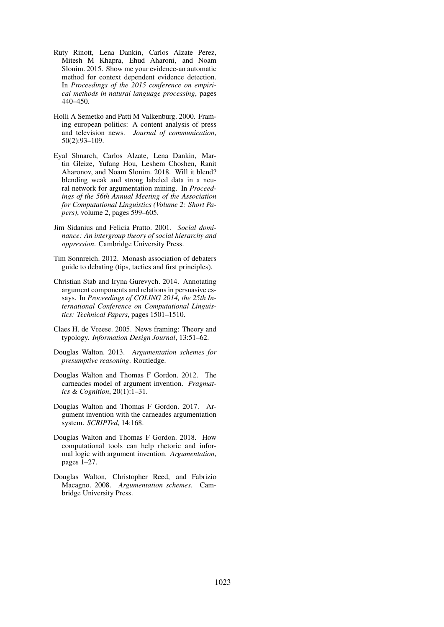- <span id="page-10-3"></span>Ruty Rinott, Lena Dankin, Carlos Alzate Perez, Mitesh M Khapra, Ehud Aharoni, and Noam Slonim. 2015. Show me your evidence-an automatic method for context dependent evidence detection. In *Proceedings of the 2015 conference on empirical methods in natural language processing*, pages 440–450.
- <span id="page-10-9"></span>Holli A Semetko and Patti M Valkenburg. 2000. Framing european politics: A content analysis of press and television news. *Journal of communication*, 50(2):93–109.
- <span id="page-10-4"></span>Eyal Shnarch, Carlos Alzate, Lena Dankin, Martin Gleize, Yufang Hou, Leshem Choshen, Ranit Aharonov, and Noam Slonim. 2018. Will it blend? blending weak and strong labeled data in a neural network for argumentation mining. In *Proceedings of the 56th Annual Meeting of the Association for Computational Linguistics (Volume 2: Short Papers)*, volume 2, pages 599–605.
- <span id="page-10-11"></span>Jim Sidanius and Felicia Pratto. 2001. *Social dominance: An intergroup theory of social hierarchy and oppression*. Cambridge University Press.
- <span id="page-10-8"></span>Tim Sonnreich. 2012. Monash association of debaters guide to debating (tips, tactics and first principles).
- <span id="page-10-2"></span>Christian Stab and Iryna Gurevych. 2014. Annotating argument components and relations in persuasive essays. In *Proceedings of COLING 2014, the 25th International Conference on Computational Linguistics: Technical Papers*, pages 1501–1510.
- <span id="page-10-10"></span>Claes H. de Vreese. 2005. News framing: Theory and typology. *Information Design Journal*, 13:51–62.
- <span id="page-10-7"></span>Douglas Walton. 2013. *Argumentation schemes for presumptive reasoning*. Routledge.
- <span id="page-10-0"></span>Douglas Walton and Thomas F Gordon. 2012. The carneades model of argument invention. *Pragmatics & Cognition*, 20(1):1–31.
- <span id="page-10-1"></span>Douglas Walton and Thomas F Gordon. 2017. Argument invention with the carneades argumentation system. *SCRIPTed*, 14:168.
- <span id="page-10-5"></span>Douglas Walton and Thomas F Gordon. 2018. How computational tools can help rhetoric and informal logic with argument invention. *Argumentation*, pages 1–27.
- <span id="page-10-6"></span>Douglas Walton, Christopher Reed, and Fabrizio Macagno. 2008. *Argumentation schemes*. Cambridge University Press.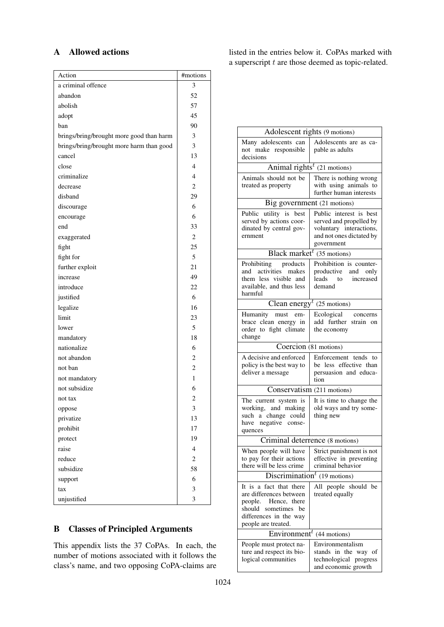# <span id="page-11-0"></span>A Allowed actions

| Action                                   | #motions       |
|------------------------------------------|----------------|
| a criminal offence                       | 3              |
| abandon                                  | 52             |
| abolish                                  | 57             |
| adopt                                    | 45             |
| ban                                      | 90             |
| brings/bring/brought more good than harm | 3              |
| brings/bring/brought more harm than good | 3              |
| cancel                                   | 13             |
| close                                    | $\overline{4}$ |
| criminalize                              | $\overline{4}$ |
| decrease                                 | $\overline{2}$ |
| disband                                  | 29             |
| discourage                               | 6              |
| encourage                                | 6              |
| end                                      | 33             |
| exaggerated                              | $\mathbf{2}$   |
| fight                                    | 25             |
| fight for                                | 5              |
| further exploit                          | 21             |
| increase                                 | 49             |
| introduce                                | 22             |
| justified                                | 6              |
| legalize                                 | 16             |
| limit                                    | 23             |
| lower                                    | 5              |
| mandatory                                | 18             |
| nationalize                              | 6              |
| not abandon                              | 2              |
| not ban                                  | $\overline{c}$ |
| not mandatory                            | 1              |
| not subsidize                            | 6              |
| not tax                                  | 2              |
| oppose                                   | 3              |
| privatize                                | 13             |
| prohibit                                 | 17             |
| protect                                  | 19             |
| raise                                    | $\overline{4}$ |
| reduce                                   | $\mathbf{2}$   |
| subsidize                                | 58             |
| support                                  | 6              |
| tax                                      | 3              |
| unjustified                              | 3              |

<span id="page-11-1"></span>B Classes of Principled Arguments

This appendix lists the 37 CoPAs. In each, the number of motions associated with it follows the class's name, and two opposing CoPA-claims are listed in the entries below it. CoPAs marked with a superscript  $t$  are those deemed as topic-related.

| Adolescent rights (9 motions)                                                                                                                               |                                                                                                                         |  |
|-------------------------------------------------------------------------------------------------------------------------------------------------------------|-------------------------------------------------------------------------------------------------------------------------|--|
| Many adolescents can<br>not make responsible<br>decisions                                                                                                   | Adolescents are as ca-<br>pable as adults                                                                               |  |
| Animal rights <sup><math>t</math></sup> (21 motions)                                                                                                        |                                                                                                                         |  |
| Animals should not be<br>treated as property                                                                                                                | There is nothing wrong<br>with using animals to<br>further human interests                                              |  |
| Big government (21 motions)                                                                                                                                 |                                                                                                                         |  |
| Public utility is best<br>served by actions coor-<br>dinated by central gov-<br>ernment                                                                     | Public interest is best<br>served and propelled by<br>voluntary interactions,<br>and not ones dictated by<br>government |  |
| Black market <sup><math>t</math></sup> (35 motions)                                                                                                         |                                                                                                                         |  |
| Prohibiting products<br>and activities makes<br>them less visible and<br>available, and thus less<br>harmful                                                | Prohibition is counter-<br>productive and only<br>leads to increased<br>demand                                          |  |
|                                                                                                                                                             | Clean energy <sup><math>t</math></sup> (25 motions)                                                                     |  |
| Humanity must<br>em-<br>brace clean energy in<br>order to fight climate<br>change                                                                           | Ecological concerns<br>add further strain on<br>the economy                                                             |  |
|                                                                                                                                                             | Coercion (81 motions)                                                                                                   |  |
| A decisive and enforced<br>policy is the best way to<br>deliver a message                                                                                   | Enforcement tends to<br>be less effective than<br>persuasion and educa-<br>tion                                         |  |
| Conservatism (211 motions)                                                                                                                                  |                                                                                                                         |  |
| The current system is<br>working, and making<br>such a change could<br>have negative conse-<br>quences                                                      | It is time to change the<br>old ways and try some-<br>thing new                                                         |  |
|                                                                                                                                                             | Criminal deterrence (8 motions)                                                                                         |  |
| When people will have<br>to pay for their actions<br>there will be less crime                                                                               | Strict punishment is not<br>effective in preventing<br>criminal behavior                                                |  |
| Discrimination <sup><math>t</math></sup><br>(19 motions)                                                                                                    |                                                                                                                         |  |
| It is a fact that there<br>are differences between<br>people.<br>Hence, there<br>should<br>sometimes<br>be<br>differences in the way<br>people are treated. | All people should be<br>treated equally                                                                                 |  |
| Environment $\overline{t}$<br>(44 motions)                                                                                                                  |                                                                                                                         |  |
| People must protect na-<br>ture and respect its bio-<br>logical communities                                                                                 | Environmentalism<br>stands in the way of<br>technological progress<br>and economic growth                               |  |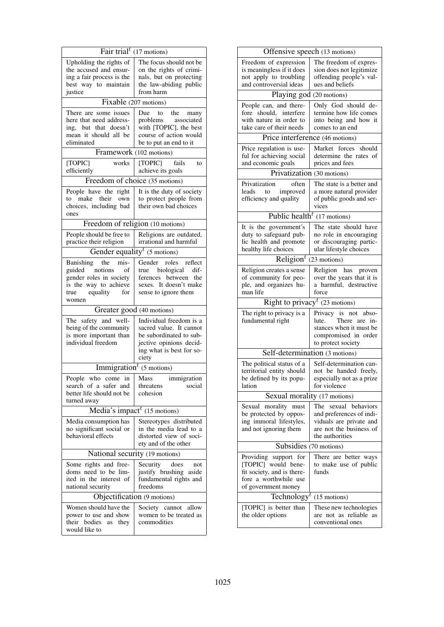| Fair trial <sup><math>t</math></sup> (17 motions)                                                                               |                                                                                                                                               |  |
|---------------------------------------------------------------------------------------------------------------------------------|-----------------------------------------------------------------------------------------------------------------------------------------------|--|
| Upholding the rights of<br>the accused and ensur-<br>ing a fair process is the<br>best way to maintain<br>justice               | The focus should not be<br>on the rights of crimi-<br>nals, but on protecting<br>the law-abiding public<br>from harm                          |  |
| Fixable (207 motions)                                                                                                           |                                                                                                                                               |  |
| There are some issues<br>here that need address-<br>ing, but that doesn't<br>mean it should all be<br>eliminated                | Due to the many<br>problems associated<br>with [TOPIC], the best<br>course of action would<br>be to put an end to it                          |  |
| Framework (102 motions)                                                                                                         |                                                                                                                                               |  |
| works<br>[TOPIC]<br>efficiently                                                                                                 | [TOPIC]<br>fails<br>to<br>achieve its goals                                                                                                   |  |
| Freedom of choice (35 motions)                                                                                                  |                                                                                                                                               |  |
| People have the right<br>to make their own<br>choices, including bad<br>ones                                                    | It is the duty of society<br>to protect people from<br>their own bad choices                                                                  |  |
| Freedom of religion (10 motions)                                                                                                |                                                                                                                                               |  |
| People should be free to<br>practice their religion                                                                             | Religions are outdated,<br>irrational and harmful                                                                                             |  |
| Gender equality <sup><math>t</math></sup> (5 motions)                                                                           |                                                                                                                                               |  |
| Banishing the mis-<br>guided notions<br>of<br>gender roles in society<br>is the way to achieve<br>equality for<br>true<br>women | Gender roles reflect<br>biological<br>dif-<br>true<br>ferences between<br>the<br>sexes. It doesn't make<br>sense to ignore them               |  |
| Greater good (40 motions)                                                                                                       |                                                                                                                                               |  |
| The safety and well-<br>being of the community<br>is more important than<br>individual freedom                                  | Individual freedom is a<br>sacred value. It cannot<br>be subordinated to sub-<br>jective opinions decid-<br>ing what is best for so-<br>ciety |  |
|                                                                                                                                 | $\overline{\text{Immigration}}^t$ (5 motions)                                                                                                 |  |
| People who come<br>in $\vert$<br>search of a safer and<br>better life should not be<br>turned away                              | Mass immigration<br>social<br>threatens<br>cohesion                                                                                           |  |
| Media's impact <sup><math>t</math></sup> (15 motions)                                                                           |                                                                                                                                               |  |
| Media consumption has<br>no significant social or<br>behavioral effects                                                         | Stereotypes distributed<br>in the media lead to a<br>distorted view of soci-<br>ety and of the other                                          |  |
| National security (19 motions)                                                                                                  |                                                                                                                                               |  |
| Some rights and free-<br>doms need to be lim-<br>ited in the interest of<br>national security                                   | Security<br>does<br>not<br>justify brushing<br>aside<br>fundamental rights and<br>freedoms                                                    |  |
| Objectification (9 motions)                                                                                                     |                                                                                                                                               |  |
| Women should have the<br>power to use and show<br>their bodies<br>as<br>they<br>would like to                                   | Society cannot<br>allow<br>women to be treated as<br>commodities                                                                              |  |

| Offensive speech (13 motions)                                                                                              |                                                                                                                                 |  |  |
|----------------------------------------------------------------------------------------------------------------------------|---------------------------------------------------------------------------------------------------------------------------------|--|--|
| Freedom of expression<br>is meaningless if it does<br>not apply to troubling<br>and controversial ideas                    | The freedom of expres-<br>sion does not legitimize<br>offending people's val-<br>ues and beliefs                                |  |  |
| Playing god (20 motions)                                                                                                   |                                                                                                                                 |  |  |
| People can, and there-<br>fore should, interfere<br>with nature in order to<br>take care of their needs                    | Only God should de-<br>termine how life comes<br>into being and how it<br>comes to an end                                       |  |  |
| Price interference (46 motions)                                                                                            |                                                                                                                                 |  |  |
| Price regulation is use-<br>ful for achieving social<br>and economic goals                                                 | Market forces<br>should<br>determine the rates of<br>prices and fees                                                            |  |  |
| Privatization (30 motions)                                                                                                 |                                                                                                                                 |  |  |
| Privatization<br>often<br>leads to improved<br>efficiency and quality                                                      | The state is a better and<br>a more natural provider<br>of public goods and ser-<br>vices                                       |  |  |
| Public health <sup>t</sup> (17 motions)                                                                                    |                                                                                                                                 |  |  |
| It is the government's<br>duty to safeguard pub-<br>lic health and promote<br>healthy life choices                         | The state should have<br>no role in encouraging<br>or discouraging partic-<br>ular lifestyle choices                            |  |  |
| Religion $t$                                                                                                               | (23 motions)                                                                                                                    |  |  |
| Religion creates a sense<br>of community for peo-<br>ple, and organizes hu-<br>man life                                    | Religion has proven<br>over the years that it is<br>a harmful, destructive<br>force                                             |  |  |
|                                                                                                                            | Right to privacy <sup><math>t</math></sup> (23 motions)                                                                         |  |  |
| The right to privacy is a<br>fundamental right                                                                             | Privacy is not<br>abso-<br>lute. There are<br>in-<br>stances when it must be<br>compromised in order<br>to protect society      |  |  |
| Self-determination (3 motions)                                                                                             |                                                                                                                                 |  |  |
| The political status of a<br>territorial entity should<br>be defined by its popu-<br>lation                                | Self-determination can-<br>not be handed freely,<br>especially not as a prize<br>for violence                                   |  |  |
| Sexual morality (17 motions)                                                                                               |                                                                                                                                 |  |  |
| Sexual<br>morality must<br>be protected by oppos-<br>ing immoral lifestyles,<br>and not ignoring them                      | The<br>sexual<br>behaviors<br>and preferences of indi-<br>viduals are private and<br>are not the business of<br>the authorities |  |  |
| Subsidies (70 motions)                                                                                                     |                                                                                                                                 |  |  |
| Providing support for<br>[TOPIC] would bene-<br>fit society, and is there-<br>fore a worthwhile use<br>of government money | There are better ways<br>to make use of public<br>funds                                                                         |  |  |
| Technology <sup>t</sup><br>(15 motions)<br>These new technologies                                                          |                                                                                                                                 |  |  |
|                                                                                                                            |                                                                                                                                 |  |  |